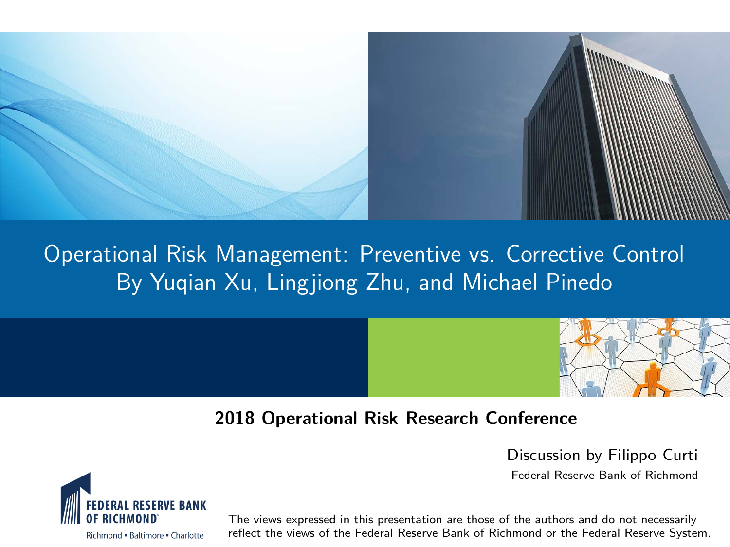

#### Operational Risk Management: Preventive vs. Corrective Control By Yuqian Xu, Lingjiong Zhu, and Michael Pinedo



#### **2018 Operational Risk Research Conference**

Discussion by Filippo Curti

Federal Reserve Bank of Richmond



The views expressed in this presentation are those of the authors and do not necessarily reflect the views of the Federal Reserve Bank of Richmond or the Federal Reserve System.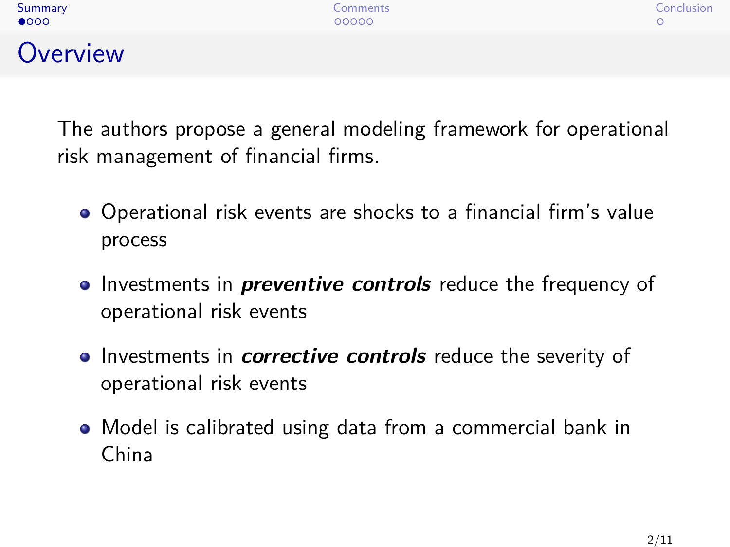## <span id="page-1-0"></span>**Overview**

The authors propose a general modeling framework for operational risk management of financial firms.

- Operational risk events are shocks to a financial firm's value process
- **Investments in** *preventive controls* reduce the frequency of operational risk events
- **•** Investments in *corrective controls* reduce the severity of operational risk events
- Model is calibrated using data from a commercial bank in China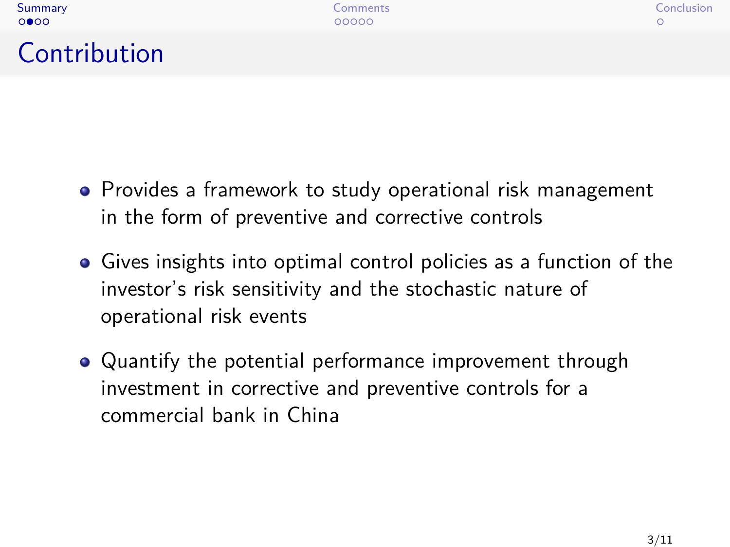# Contribution

- Provides a framework to study operational risk management in the form of preventive and corrective controls
- Gives insights into optimal control policies as a function of the investor's risk sensitivity and the stochastic nature of operational risk events
- Quantify the potential performance improvement through investment in corrective and preventive controls for a commercial bank in China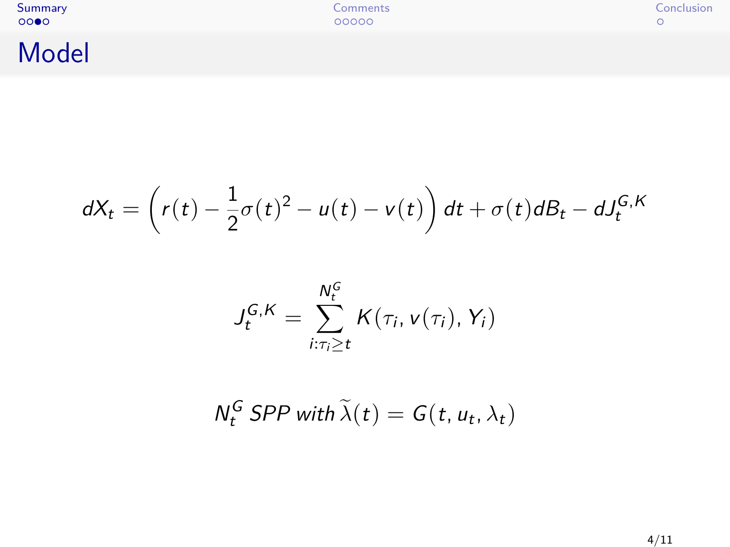[Summary](#page-1-0) [Comments](#page-5-0) [Conclusion](#page-10-0)

# Model

$$
dX_t = \left(r(t) - \frac{1}{2}\sigma(t)^2 - u(t) - v(t)\right)dt + \sigma(t)dB_t - dJ_t^{G,K}
$$

$$
J_t^{G,K} = \sum_{i:\tau_i \geq t}^{N_t^G} K(\tau_i, v(\tau_i), Y_i)
$$

$$
N_t^G \text{ SPP with } \tilde{\lambda}(t) = G(t, u_t, \lambda_t)
$$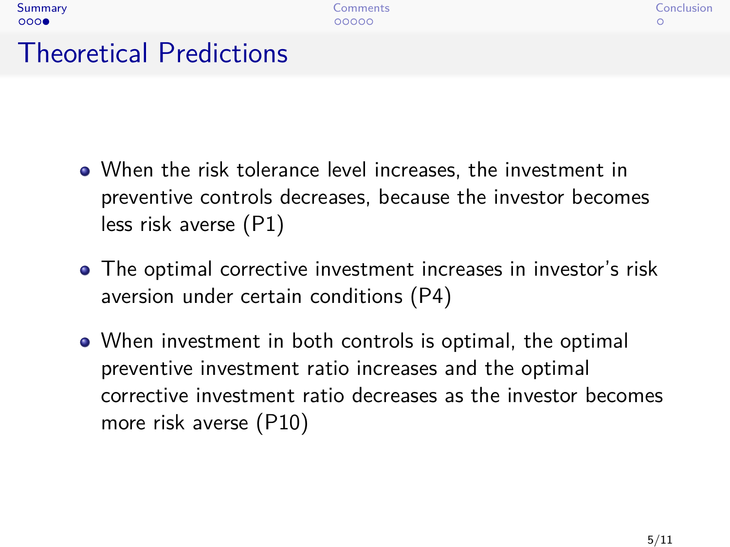# Theoretical Predictions

 $000$ 

- When the risk tolerance level increases, the investment in preventive controls decreases, because the investor becomes less risk averse (P1)
- The optimal corrective investment increases in investor's risk aversion under certain conditions (P4)
- When investment in both controls is optimal, the optimal preventive investment ratio increases and the optimal corrective investment ratio decreases as the investor becomes more risk averse (P10)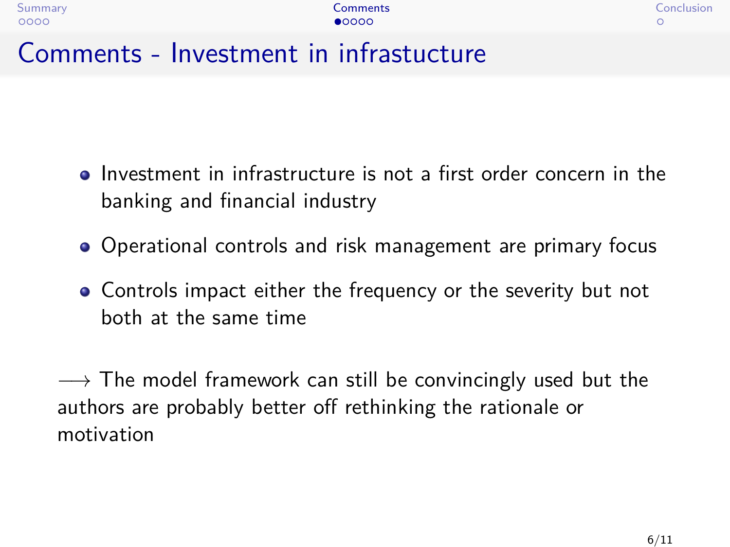<span id="page-5-0"></span>

| ummar |
|-------|
|       |

# Comments - Investment in infrastucture

- Investment in infrastructure is not a first order concern in the banking and financial industry
- Operational controls and risk management are primary focus
- Controls impact either the frequency or the severity but not both at the same time

 $\rightarrow$  The model framework can still be convincingly used but the authors are probably better off rethinking the rationale or motivation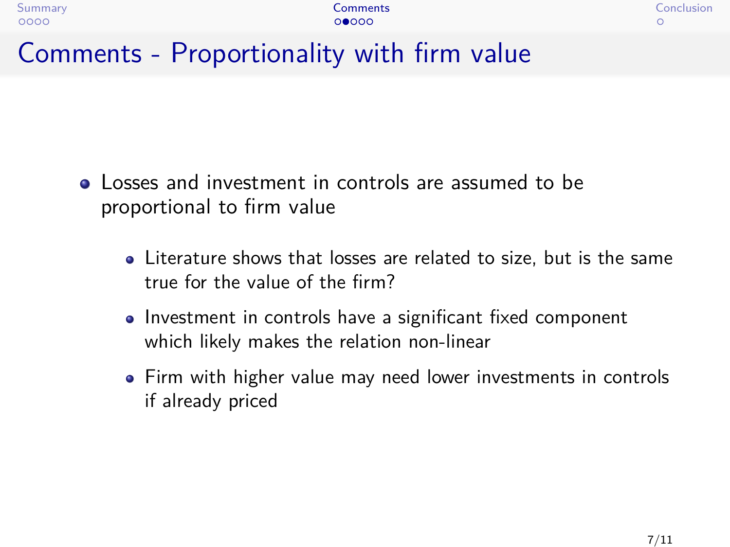## Comments - Proportionality with firm value

- Losses and investment in controls are assumed to be proportional to firm value
	- Literature shows that losses are related to size, but is the same true for the value of the firm?
	- Investment in controls have a significant fixed component which likely makes the relation non-linear
	- Firm with higher value may need lower investments in controls if already priced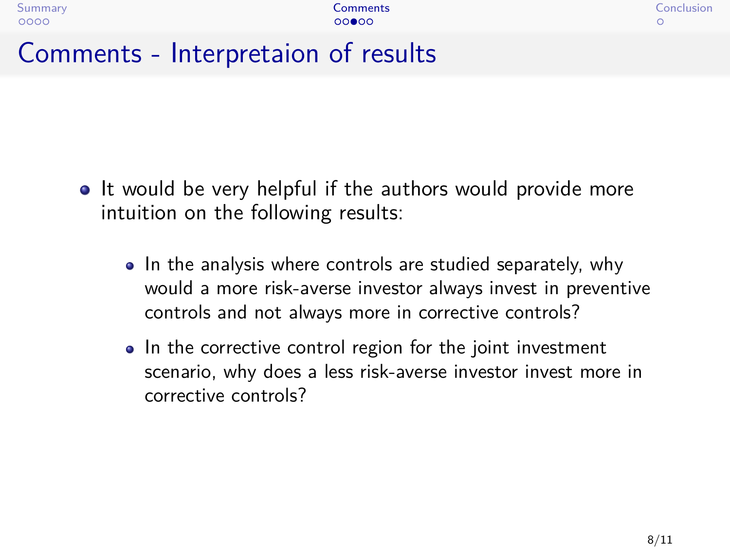#### Comments - Interpretaion of results

- It would be very helpful if the authors would provide more intuition on the following results:
	- In the analysis where controls are studied separately, why would a more risk-averse investor always invest in preventive controls and not always more in corrective controls?
	- In the corrective control region for the joint investment scenario, why does a less risk-averse investor invest more in corrective controls?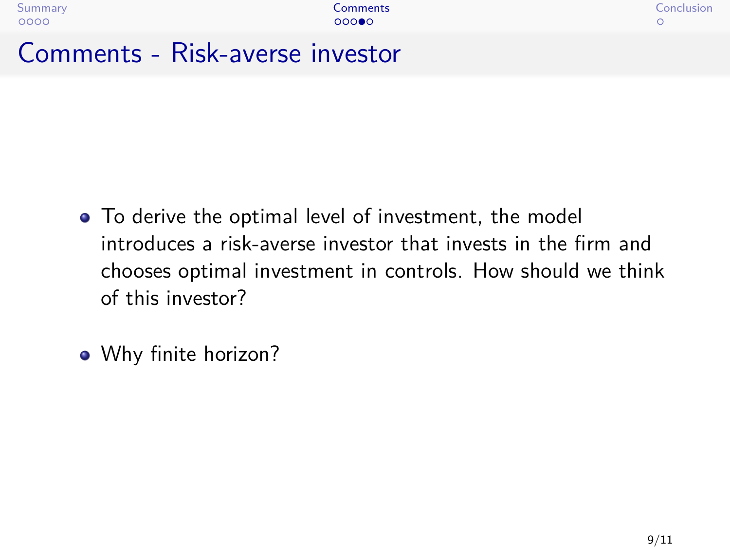#### Comments - Risk-averse investor

- To derive the optimal level of investment, the model introduces a risk-averse investor that invests in the firm and chooses optimal investment in controls. How should we think of this investor?
- Why finite horizon?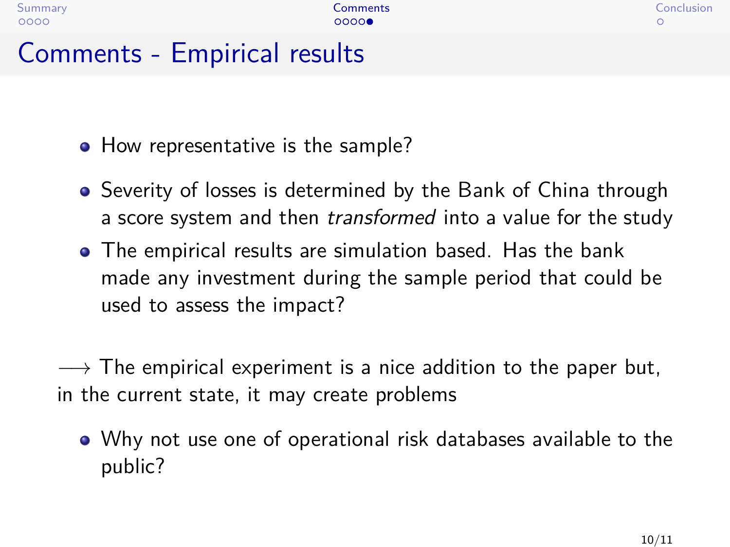## Comments - Empirical results

- How representative is the sample?
- Severity of losses is determined by the Bank of China through a score system and then *transformed* into a value for the study
- The empirical results are simulation based. Has the bank made any investment during the sample period that could be used to assess the impact?

 $\rightarrow$  The empirical experiment is a nice addition to the paper but, in the current state, it may create problems

Why not use one of operational risk databases available to the public?